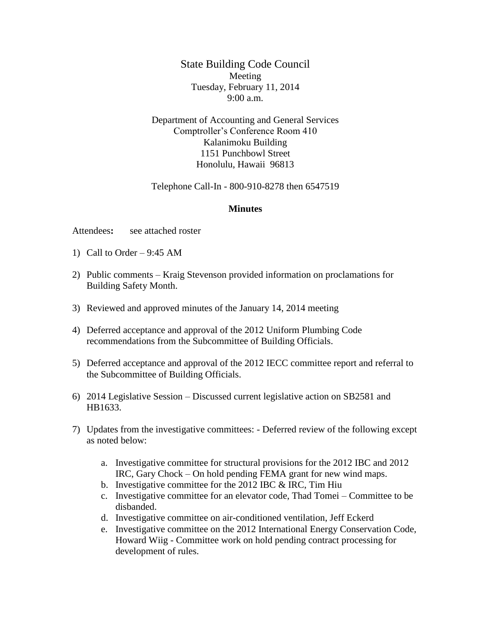State Building Code Council Meeting Tuesday, February 11, 2014 9:00 a.m.

Department of Accounting and General Services Comptroller's Conference Room 410 Kalanimoku Building 1151 Punchbowl Street Honolulu, Hawaii 96813

Telephone Call-In - 800-910-8278 then 6547519

## **Minutes**

Attendees**:** see attached roster

- 1) Call to Order 9:45 AM
- 2) Public comments Kraig Stevenson provided information on proclamations for Building Safety Month.
- 3) Reviewed and approved minutes of the January 14, 2014 meeting
- 4) Deferred acceptance and approval of the 2012 Uniform Plumbing Code recommendations from the Subcommittee of Building Officials.
- 5) Deferred acceptance and approval of the 2012 IECC committee report and referral to the Subcommittee of Building Officials.
- 6) 2014 Legislative Session Discussed current legislative action on SB2581 and HB1633.
- 7) Updates from the investigative committees: Deferred review of the following except as noted below:
	- a. Investigative committee for structural provisions for the 2012 IBC and 2012 IRC, Gary Chock – On hold pending FEMA grant for new wind maps.
	- b. Investigative committee for the 2012 IBC & IRC, Tim Hiu
	- c. Investigative committee for an elevator code, Thad Tomei Committee to be disbanded.
	- d. Investigative committee on air-conditioned ventilation, Jeff Eckerd
	- e. Investigative committee on the 2012 International Energy Conservation Code, Howard Wiig - Committee work on hold pending contract processing for development of rules.